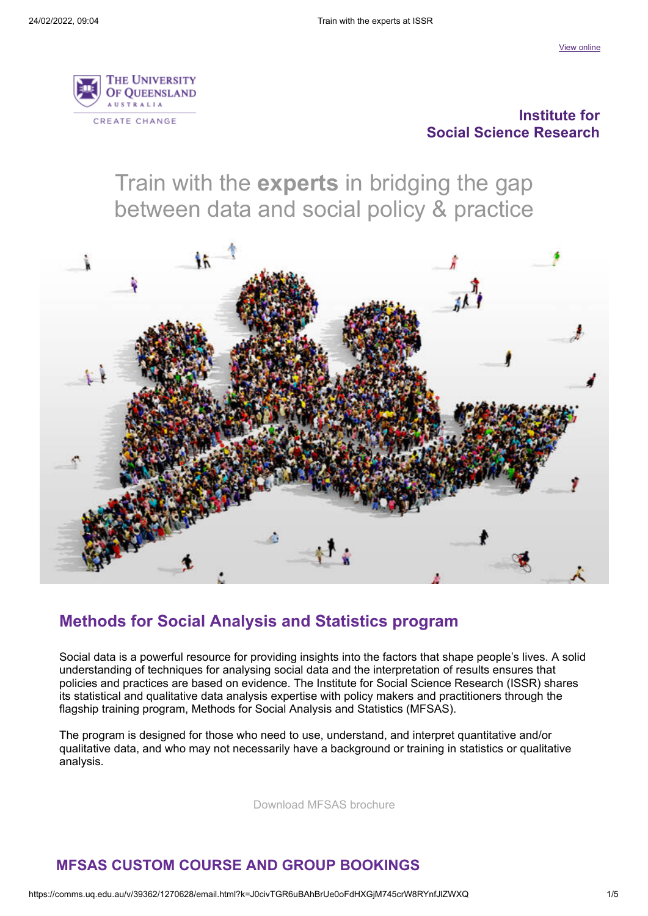

#### **Institute for Social Science Research**

Train with the **experts** in bridging the gap between data and social policy & practice



### **Methods for Social Analysis and Statistics program**

Social data is a powerful resource for providing insights into the factors that shape people's lives. A solid understanding of techniques for analysing social data and the interpretation of results ensures that policies and practices are based on evidence. The Institute for Social Science Research (ISSR) shares its statistical and qualitative data analysis expertise with policy makers and practitioners through the flagship training program, Methods for Social Analysis and Statistics (MFSAS).

The program is designed for those who need to use, understand, and interpret quantitative and/or qualitative data, and who may not necessarily have a background or training in statistics or qualitative analysis.

[Download MFSAS brochure](https://comms.uq.edu.au/ch/39362/1h1y8/2198816/4civH1OPcpckUXTP.ihtG33uGka1XEzK3xMUNNci-1.pdf)

### **MFSAS CUSTOM COURSE AND GROUP BOOKINGS**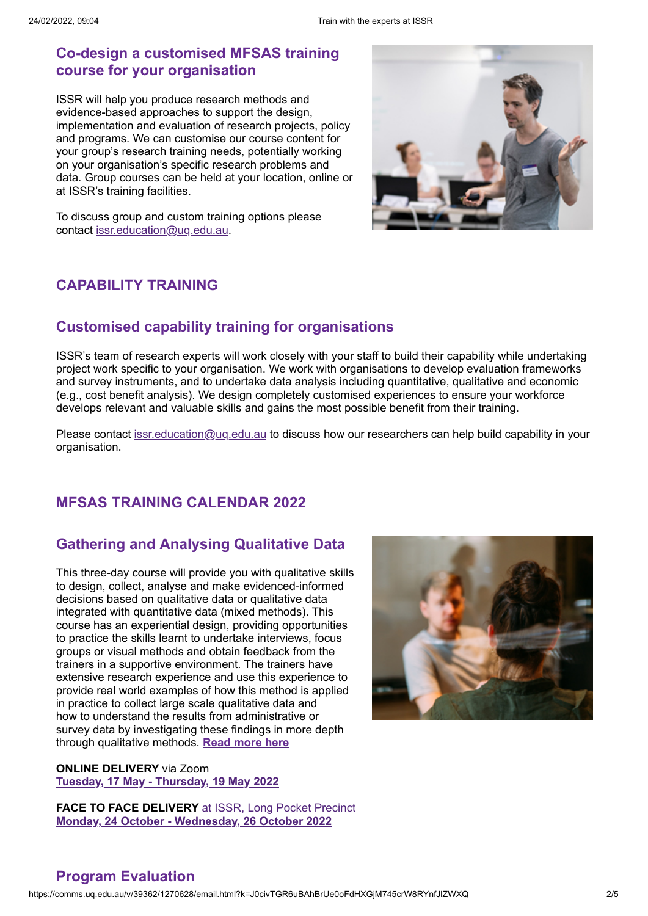### **Co-design a customised MFSAS training course for your organisation**

ISSR will help you produce research methods and evidence-based approaches to support the design, implementation and evaluation of research projects, policy and programs. We can customise our course content for your group's research training needs, potentially working on your organisation's specific research problems and data. Group courses can be held at your location, online or at ISSR's training facilities.



To discuss group and custom training options please contact [issr.education@uq.edu.au.](mailto:issr.education@uq.edu.au)

### **CAPABILITY TRAINING**

### **Customised capability training for organisations**

ISSR's team of research experts will work closely with your staff to build their capability while undertaking project work specific to your organisation. We work with organisations to develop evaluation frameworks and survey instruments, and to undertake data analysis including quantitative, qualitative and economic (e.g., cost benefit analysis). We design completely customised experiences to ensure your workforce develops relevant and valuable skills and gains the most possible benefit from their training.

Please contact [issr.education@uq.edu.au](mailto:issr.education@uq.edu.au) to discuss how our researchers can help build capability in your organisation.

### **MFSAS TRAINING CALENDAR 2022**

## **Gathering and Analysing Qualitative Data**

This three-day course will provide you with qualitative skills to design, collect, analyse and make evidenced-informed decisions based on qualitative data or qualitative data integrated with quantitative data (mixed methods). This course has an experiential design, providing opportunities to practice the skills learnt to undertake interviews, focus groups or visual methods and obtain feedback from the trainers in a supportive environment. The trainers have extensive research experience and use this experience to provide real world examples of how this method is applied in practice to collect large scale qualitative data and how to understand the results from administrative or survey data by investigating these findings in more depth through qualitative methods. **[Read more here](https://comms.uq.edu.au/ch/39362/1h1y8/2198844/4civH1OPcpckUXTP.iht3Hi3XLeq3PP06_V1yd8X.html)**

**ONLINE DELIVERY** via Zoom **[Tuesday, 17 May - Thursday, 19 May 2022](https://comms.uq.edu.au/ch/39362/1h1y8/2198856/4civH1OPcpckUXTP.ihtCZhepYfn29ft5yycGeOq.html)**

**FACE TO FACE DELIVERY** [at ISSR, Long Pocket Precinct](https://comms.uq.edu.au/ch/39362/1h1y8/1837195/4civH1OPcpckUXTP.iht5.TVFDPPS.7zJwbj9GC5.html) **[Monday, 24 October - Wednesday, 26 October 2022](https://comms.uq.edu.au/ch/39362/1h1y8/2198857/4civH1OPcpckUXTP.ihts2ffeLzc1g_Su5TOOKDK.html)**



### **Program Evaluation**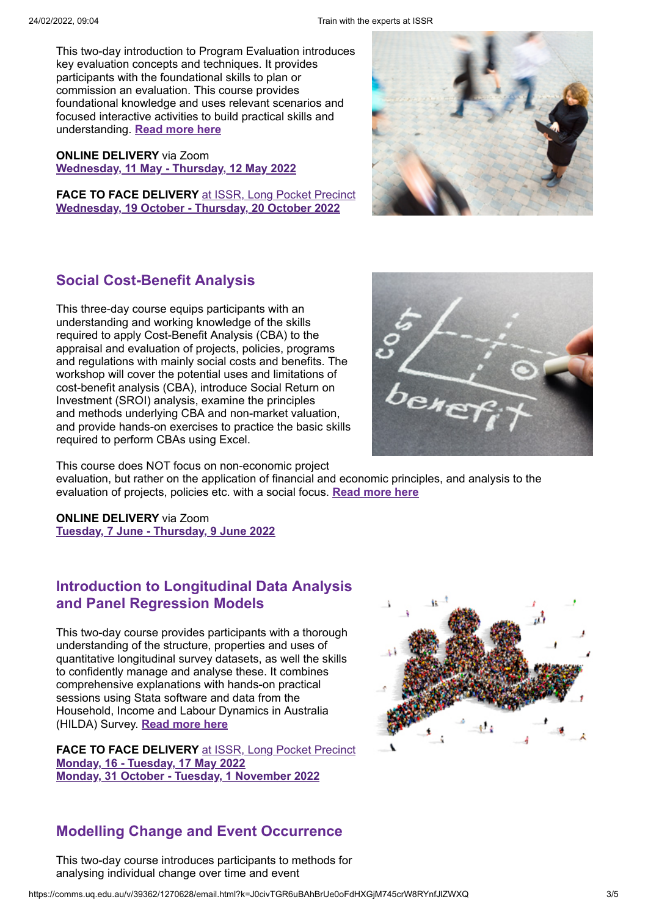This two-day introduction to Program Evaluation introduces key evaluation concepts and techniques. It provides participants with the foundational skills to plan or commission an evaluation. This course provides foundational knowledge and uses relevant scenarios and focused interactive activities to build practical skills and understanding. **[Read more here](https://comms.uq.edu.au/ch/39362/1h1y8/2198840/4civH1OPcpckUXTP.ihtDZmsSHnGytFXdRlphFGk.html)**

**ONLINE DELIVERY** via Zoom **[Wednesday, 11 May - Thursday, 12 May 2022](https://comms.uq.edu.au/ch/39362/1h1y8/2198858/4civH1OPcpckUXTP.iht_gcVIkgqsWuxDO52sBaa.html)**

**FACE TO FACE DELIVERY** [at ISSR, Long Pocket Precinct](https://comms.uq.edu.au/ch/39362/1h1y8/1837195/4civH1OPcpckUXTP.iht5.TVFDPPS.7zJwbj9GC5-1.html) **[Wednesday, 19 October - Thursday, 20 October 2022](https://comms.uq.edu.au/ch/39362/1h1y8/2198859/4civH1OPcpckUXTP.ihtTcPToWn4PNmiP1oudhpn.html)**



## **Social Cost-Benefit Analysis**

This three-day course equips participants with an understanding and working knowledge of the skills required to apply Cost-Benefit Analysis (CBA) to the appraisal and evaluation of projects, policies, programs and regulations with mainly social costs and benefits. The workshop will cover the potential uses and limitations of cost-benefit analysis (CBA), introduce Social Return on Investment (SROI) analysis, examine the principles and methods underlying CBA and non-market valuation, and provide hands-on exercises to practice the basic skills required to perform CBAs using Excel.



This course does NOT focus on non-economic project

evaluation, but rather on the application of financial and economic principles, and analysis to the evaluation of projects, policies etc. with a social focus. **[Read more here](https://comms.uq.edu.au/ch/39362/1h1y8/2198846/4civH1OPcpckUXTP.ihtsurJHWgugz5FGFccdkCE.html)**

**ONLINE DELIVERY** via Zoom **[Tuesday, 7 June - Thursday, 9 June 2022](https://comms.uq.edu.au/ch/39362/1h1y8/2198862/4civH1OPcpckUXTP.ihtzg5lTXfRoicHbKYIQXbh.html)**

### **Introduction to Longitudinal Data Analysis and Panel Regression Models**

This two-day course provides participants with a thorough understanding of the structure, properties and uses of quantitative longitudinal survey datasets, as well the skills to confidently manage and analyse these. It combines comprehensive explanations with hands-on practical sessions using Stata software and data from the Household, Income and Labour Dynamics in Australia (HILDA) Survey. **[Read more here](https://comms.uq.edu.au/ch/39362/1h1y8/2198842/4civH1OPcpckUXTP.ihtB24YLrjbsgamupn8acNN.html)**

**FACE TO FACE DELIVERY** [at ISSR, Long Pocket Precinct](https://comms.uq.edu.au/ch/39362/1h1y8/1837195/4civH1OPcpckUXTP.iht5.TVFDPPS.7zJwbj9GC5-2.html) **[Monday, 16 - Tuesday, 17 May 2022](https://comms.uq.edu.au/ch/39362/1h1y8/2198863/4civH1OPcpckUXTP.ihteM1s4Wvhqf03OqFtqBkL.html) [Monday, 31 October - Tuesday, 1 November 2022](https://comms.uq.edu.au/ch/39362/1h1y8/2198864/4civH1OPcpckUXTP.ihtDPVN3FEpBPN0Yr6v2joy.html)**



### **Modelling Change and Event Occurrence**

This two-day course introduces participants to methods for analysing individual change over time and event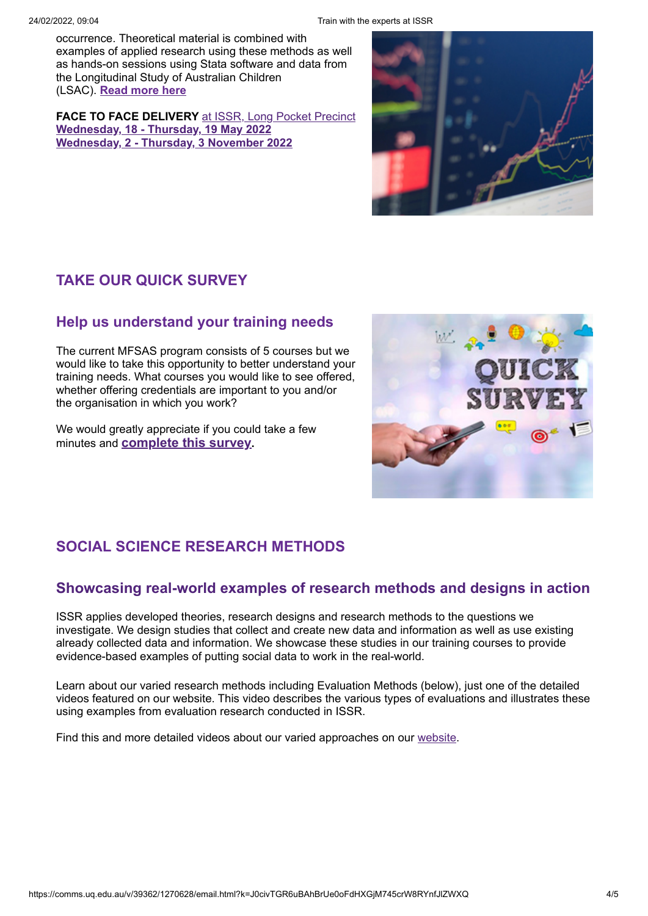occurrence. Theoretical material is combined with examples of applied research using these methods as well as hands-on sessions using Stata software and data from the Longitudinal Study of Australian Children (LSAC). **[Read more here](https://comms.uq.edu.au/ch/39362/1h1y8/2198843/4civH1OPcpckUXTP.ihtQg5WYOYDinLuUaJ2enMf.html)**

**FACE TO FACE DELIVERY** [at ISSR, Long Pocket Precinct](https://comms.uq.edu.au/ch/39362/1h1y8/1837195/4civH1OPcpckUXTP.iht5.TVFDPPS.7zJwbj9GC5-3.html) **[Wednesday, 18 - Thursday, 19 May 2022](https://comms.uq.edu.au/ch/39362/1h1y8/2198865/4civH1OPcpckUXTP.ihtbraD.IdyxEG26xOnLXTL.html) [Wednesday, 2 - Thursday, 3](https://comms.uq.edu.au/ch/39362/1h1y8/2198866/4civH1OPcpckUXTP.iht5T5mk9zPoktnduumxOO_.html) November 2022**



# **TAKE OUR QUICK SURVEY**

### **Help us understand your training needs**

The current MFSAS program consists of 5 courses but we would like to take this opportunity to better understand your training needs. What courses you would like to see offered, whether offering credentials are important to you and/or the organisation in which you work?

We would greatly appreciate if you could take a few minutes and **[complete this survey](https://comms.uq.edu.au/ch/39362/1h1y8/2198853/4civH1OPcpckUXTP.ihtPfo4FFuz3DyI9U_z1YxU.html).**



# **SOCIAL SCIENCE RESEARCH METHODS**

### **Showcasing real-world examples of research methods and designs in action**

ISSR applies developed theories, research designs and research methods to the questions we investigate. We design studies that collect and create new data and information as well as use existing already collected data and information. We showcase these studies in our training courses to provide evidence-based examples of putting social data to work in the real-world.

Learn about our varied research methods including Evaluation Methods (below), just one of the detailed videos featured on our website. This video describes the various types of evaluations and illustrates these using examples from evaluation research conducted in ISSR.

Find this and more detailed videos about our varied approaches on our [website](https://comms.uq.edu.au/ch/39362/1h1y8/2198855/4civH1OPcpckUXTP.ihtxAAefMnsoB38G.eQgfe5.html).